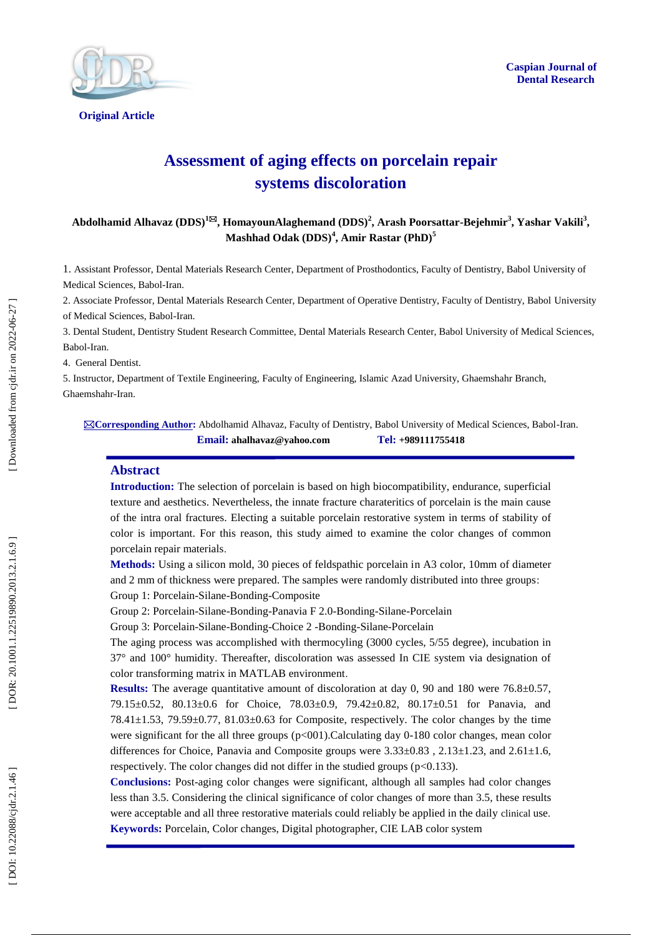



**Original Article** 

# **Assessment of aging effects on porcelain repair systems discoloration**

**Abdolhamid Alhavaz (DDS) 1 , HomayounAlaghemand (DDS) 2 , Arash Poorsattar - Bejeh mir 3 , Yashar Vakili 3 , Mashhad Odak (DDS) 4 , Amir Rastar (PhD) 5**

1. Assistant Professor, Dental Materials Research Center, Department of Prosthodontics, Faculty of Dentistry, Babol University of Medical Sciences, Babol -Iran.

2. Associate Professor, Dental Materials Research Center, Department of Operative Dentistry, Faculty of Dentistry, Babol University of Medical Sciences, Babol -Iran.

3. Dental Student, Dentistry Student Research Committee, Dental Materials Research Center, Babol University of Medical Sciences, Babol -Iran.

4. General Dentist .

5. Instructor, Department of Textile Engineering, Faculty of Engineering, Islamic Azad University, Ghaemshahr Branch, Ghaemshahr -Iran.

**Corresponding Author :** Abdolhamid Alhavaz, Faculty of Dentistry, Babol University of Medical Sciences, Babol -Iran. **Email: ahalhavaz@yahoo.com Tel: +989111755418**

#### **Abstract**

**Introduction :** The selection of porcelain is based on high biocompatibility, endurance, superficial texture and aesthetics. Nevertheless, the innate fracture charateritics of porcelain is the main cause of the intra oral fractures. Electing a suitable porcelain restorative system in terms of stability of color is important. For this reason, this study aimed to examine the color changes of common porcelain repair materials .

**Methods:** Using a silicon mold, 30 pieces of feldspathic porcelain in A3 color, 10mm of diameter and 2 mm of thickness were prepared. The samples were randomly distributed into three groups : Group 1: Porcelain -Silane -Bonding -Composite

Group 2: Porcelain-Silane-Bonding-Panavia F 2.0-Bonding-Silane-Porcelain

Group 3: Porcelain -Silane -Bonding -Choice 2 -Bonding -Silane -Porcelain

The aging process was accomplished with thermocyling (3000 cycles, 5/55 degree), incubation in 37° and 100° humidity. Thereafter, discoloration was assessed In CIE system via designation of color transforming matrix in MATLAB environment .

**Results:** The average quantitative amount of discoloration at day 0, 90 and 180 were 76.8±0.57, 79.15±0.52, 80.13±0.6 for Choice, 78.03±0.9, 79.42±0.82, 80.17±0.51 for Panavia, and 78.41±1.53, 79.59±0.77, 81.03±0.63 for Composite, respectively. The color changes by the time were significant for the all three groups (p<001). Calculating day 0-180 color changes, mean color differences for Choice, Panavia and Composite groups were  $3.33\pm0.83$ ,  $2.13\pm1.23$ , and  $2.61\pm1.6$ , respectively. The color changes did not differ in the studied groups ( p<0.133).

**Conclusions :** Post -aging color changes were significant, although all samples had color changes less than 3.5. Considering the clinical significance of color changes of more than 3.5, these results were acceptable and all three restorative materials could reliably be applied in the daily clinical use . **Keywords:** Porcelain, Color changes, Digital photographer, CIE LAB color system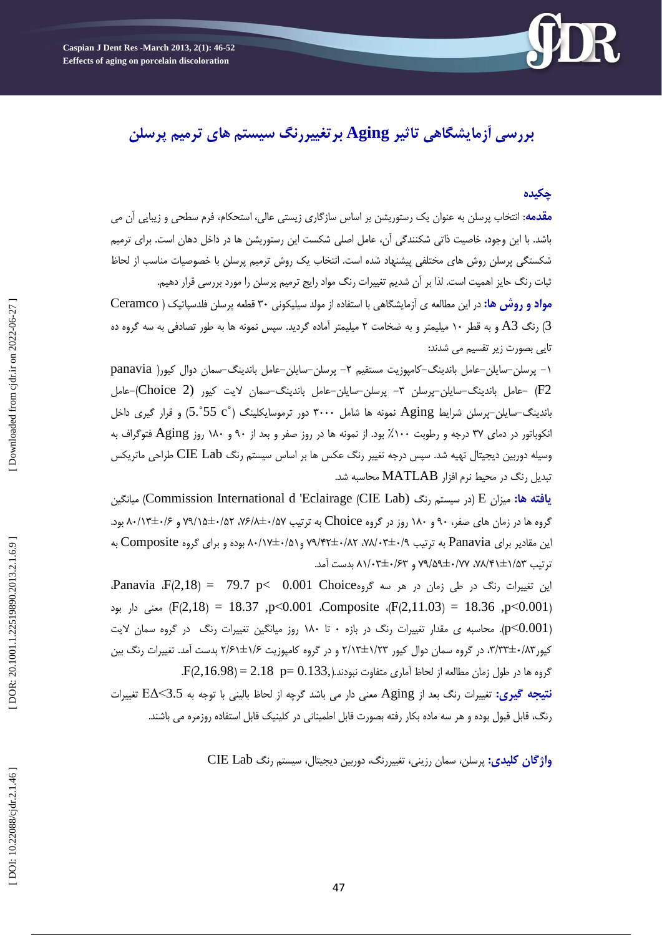

# **بررسی آزمایشگاهی تاثیر Aging برتغییررنگ سیستم های ترمیم پرسلن**

# **چکیده**

<mark>مقدمه</mark>: انتخاب پرسلن به عنوان یک رستوریشن بر اساس سازگاری زیستی عالی، استحکام، فرم سطحی و زیبایی ان می باشد. با این وجود، خاصیت ذاتی شکنندگی آن، عامل اصلی شکست این رستوریشن ها در داخل دهان است. برای ترمیم شکستگی پرسلن روش های مختلفی پیشنهاد شده است. انتخاب یک روش ترمیم پرسلن با خصوصیات مناسب از لحاظ ثبات رنگ حایز اهمیت است. لذا بر آن شدیم تغییرات رنگ مواد رایج ترمیم پرسلن را مورد بررسی قرار دهیم.

**مواد و روش ها:** در این مطالعه ی آزمایشگاهی با استفاده از مولد سیلیکونی ۳۰ قطعه پرسلن فلدسپاتیک ( Ceramco ا رنگ A3 و به قطر ۱۰ میلیمتر و به ضخامت ۲ میلیمتر آماده گردید. سپس نمونه ها به طور تصادفی به سه گروه ده  $\left( 3\right)$ تای*ی* بصورت زیر تقسیم م*ی* شدند:

۱– پرسلن–سایلن–عامل باندینگ–کامپوزیت مستقیم ۲– پرسلن–سایلن–عامل باندینگ–سمان دوال کیور( panavia F2 -عامل باندینگ-سایلن-پرسلن ٣- پرسلن-سایلن-عامل باندینگ-سمان لایت کیور (Choice 2)-عامل باندینگ-سایلن-پرسلن شرایط Aging نمونه ها شامل ۳۰۰۰ دور ترموسایکلینگ (°S.°55 c) و قرار گیری داخل انکوباتور در دمای ۳۷ درجه و رطوبت ۱۰۰٪ بود. از نمونه ها در روز صفر و بعد از ۹۰ و ۱۸۰ روز Aging فتوگراف به وسیله دوربین دیجیتال تهیه شد. سپس درجِه تغییر رنگ عکس ها بر اساس سیستم رنگ CIE Lab طراحی ماتریکس تبدیل رنگ در محیط نرم افزار MATLAB محاسبه شد.

**یافته ها:** میزان E (در سیستم رنگ (Commission International d 'Eclairage (CIE Lab) هیانگین گروه ها در زمان های صفر، ۹۰ و ۱۸۰ روز در گروه Choice به ترتیب ۰/۵۷+۱/۵۲ ، ۷۹/۱۵±۰/۵۲ و ۸۰/۱۳±۰/۶ بود. این مقادیر برای Panavia به ترتیب ۹/۰+۳±۰/۸۲، ۲۸/۰۲±۰/۵۲ و ۸۰/۱۷±۰/۵۱ بوده و برای گروه Composite به نرتیب ۷۵/۴۱±۱/۵۲، ۷۷/۵۹±۰/۷۷ و ۸۱/۰۳±۰/۶۳ بدست آمد.

این تغییرات رنگ در طی زمان در هر سه گروهOO1 Choice و Panavia  $F(2,18) = 79.7$  p< 0.001 p<0.001 ،Composite ،(F(2,11.03) = 18.36 ,p<0.001 ،Composite ،(F(2,11.03) معنی دار بود p<0.001). محاسبه ی مقدار تغییرات رنگ در بازه ۰ تا ۱۸۰ روز میانگین تغییرات رنگ در گروه سمان لایت کیور۲۸'،۳۳±۳،۳۳، در گروه سمان دوال کیور ۲/۱۲±۲/۱۲ و در گروه کامپوزیت ۲/۶±۲/۶۱ بدست آمد. تغییرات رنگ بین .  $\rm{F}(2,16.98)\,{=}\,2.18\;$   $\rm{p}{=}\,0.133,$ گروه ها در طول زمان مطالعه از لحاظ آماری متفاوت نبودند. **نتیجه گیری:** تغییرات رنگ بعد از Aging معنی دار می باشد گرچه از لحاظ بالینی با توجه به 3.5>E∆ تغییرات

رنگ، قابل قبول بوده و هر سه ماده بکار رفته بصورت قابل اطمینانی در کلینیک قابل استفاده روزمره می باشند.

و**اژگان کلیدی:** پرسلن، سمان رزینی، تغییررنگ، دوربین دیجیتال، سیستم رنگ CIE Lab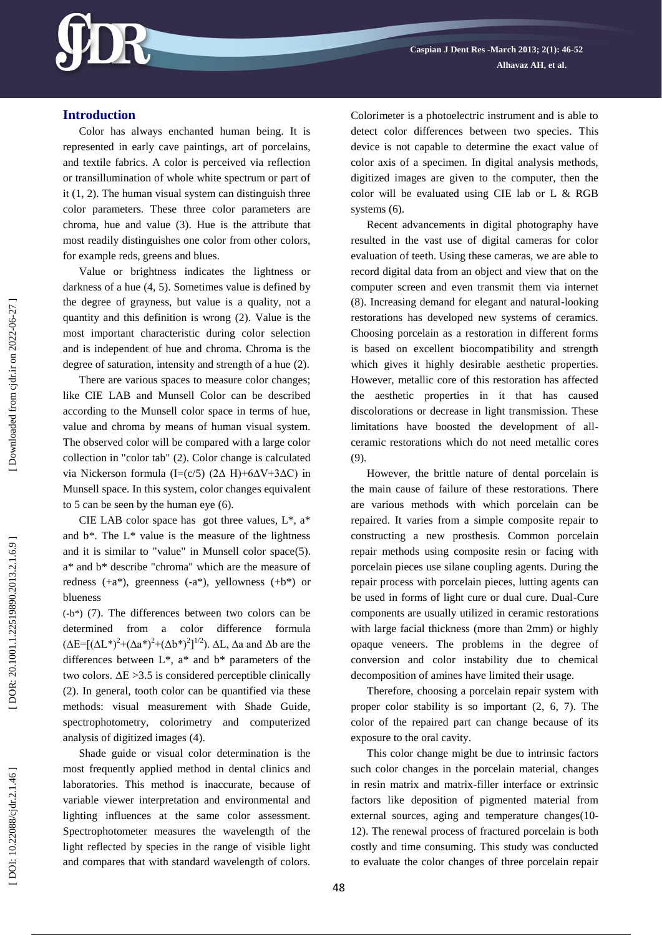

## **Introduction**

Color has always enchanted human being. It is represented in early cave paintings, art of porcelains, and textile fabrics. A color is perceived via reflection or transillumination of whole white spectrum or part of it (1, 2). The human visual system can distinguish three color parameters. These three color parameters are chroma, hue and value (3). Hue is the attribute that most readily distinguishes one color from other colors, for example reds, greens and blues.

Value or brightness indicates the lightness or darkness of a hue (4, 5). Sometimes value is defined by the degree of grayness, but value is a quality, not a quantity and this definition is wrong (2). Value is the most important characteristic during color selection and is independent of hue and chroma. Chroma is the degree of saturation, intensity and strength of a hue (2).

There are various spaces to measure color changes; like CIE LAB and Munsell Color can be described according to the Munsell color space in terms of hue, value and chroma by means of human visual system. The observed color will be compared with a large color collection in "color tab" (2). Color change is calculated via Nickerson formula (I=(c/5) (2∆ H)+6∆V+3∆C) in Munsell space. In this system, color changes equivalent to 5 can be seen by the human eye (6).

CIE LAB color space has got three values,  $L^*$ ,  $a^*$ and  $b^*$ . The  $L^*$  value is the measure of the lightness and it is similar to "value" in Munsell color space(5). a\* and b\* describe "chroma" which are the measure of redness (+a\*), greenness ( -a\*), yellowness (+b\*) or blueness

(-b\*) (7). The differences between two colors can be determined from a color difference formula  $(\Delta E = [(\Delta L^*)^2 + (\Delta a^*)^2 + (\Delta b^*)^2]^{1/2})$ .  $\Delta L$ ,  $\Delta a$  and  $\Delta b$  are the differences between  $L^*$ ,  $a^*$  and  $b^*$  parameters of the two colors.  $\Delta E > 3.5$  is considered perceptible clinically (2). In general, tooth color can be quantified via these methods: visual measurement with Shade Guide, spectrophotometry, colorimetry and computerized analysis of digitized images (4).

Shade guide or visual color determination is the most frequently applied method in dental clinics and laboratories. This method is inaccurate, because of variable viewer interpretation and environmental and lighting influences at the same color assessment. Spectrophotometer measures the wavelength of the light reflected by species in the range of visible light and compares that with standard wavelength of colors. Colorimeter is a photoelectric instrument and is able to detect color differences between two species. This device is not capable to determine the exact value of color axis of a specimen. In digital analysis methods, digitized images are given to the computer, then the color will be evaluated using CIE lab or L & RGB systems (6).

Recent advancements in digital photography have resulted in the vast use of digital cameras for color evaluation of teeth. Using these cameras, we are able to record digital data from an object and view that on the computer screen and even transmit them via internet (8). Increasing demand for elegant and natural -looking restorations has developed new systems of ceramics. Choosing porcelain as a restoration in different forms is based on excellent biocompatibility and strength which gives it highly desirable aesthetic properties. However, metallic core of this restoration has affected the aesthetic properties in it that has caused discolorations or decrease in light transmission. These limitations have boosted the development of all ceramic restorations which do not need metallic cores (9).

However, the brittle nature of dental porcelain is the main cause of failure of these restorations. There are various methods with which porcelain can be repaired. It varies from a simple composite repair to constructing a new prosthesis. Common porcelain repair methods using composite resin or facing with porcelain pieces use silane coupling agents. During the repair process with porcelain pieces, lutting agents can be used in forms of light cure or dual cure. Dual -Cure components are usually utilized in ceramic restorations with large facial thickness (more than 2mm) or highly opaque veneers. The problems in the degree of conversion and color instability due to chemical decomposition of amines have limited their usage.

Therefore, choosing a porcelain repair system with proper color stability is so important (2, 6, 7). The color of the repaired part can change because of its exposure to the oral cavity.

This color change might be due to intrinsic factors such color changes in the porcelain material, changes in resin matrix and matrix -filler interface or extrinsic factors like deposition of pigmented material from external sources, aging and temperature changes(10-12). The renewal process of fractured porcelain is both costly and time consuming. This study was conducted to evaluate the color changes of three porcelain repair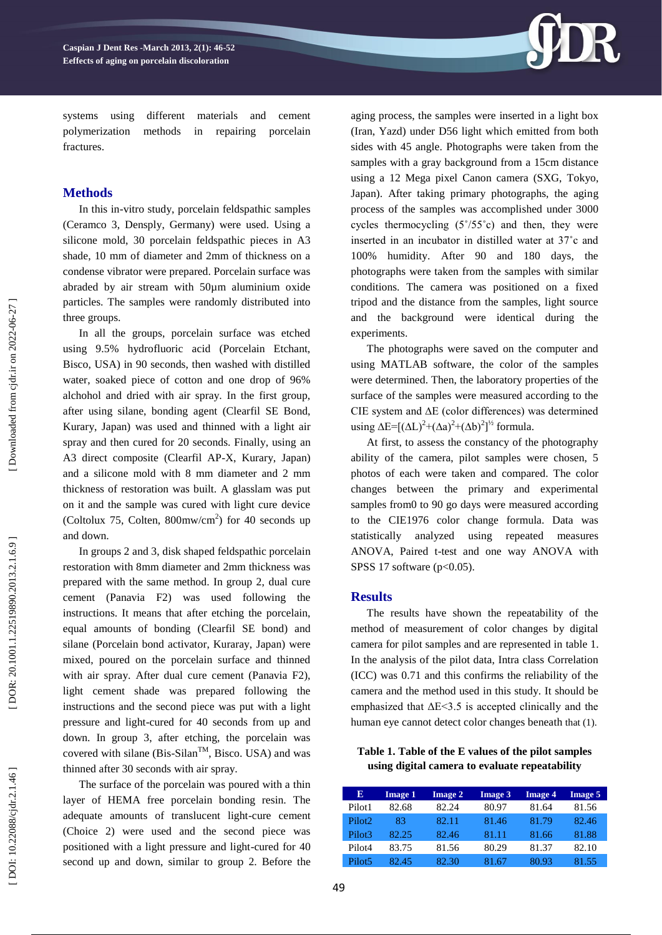

systems using different materials and cement polymerization methods in repairing porcelain fractures.

## **Method s**

In this in -vitro study, porcelain feldspathic samples (Ceramco 3, Densply, Germany) were used. Using a silicone mold, 30 porcelain feldspathic pieces in A3 shade, 10 mm of diameter and 2mm of thickness on a condense vibrator were prepared. Porcelain surface was abraded by air stream with 50µm aluminium oxide particles. The samples were randomly distributed into three groups.

In all the groups, porcelain surface was etched using 9.5% hydrofluoric acid (Porcelain Etchant, Bisco, USA) in 90 seconds, then washed with distilled water, soaked piece of cotton and one drop of 96% alchohol and dried with air spray. In the first group, after using silane, bonding agent (Clearfil SE Bond, Kurary, Japan) was used and thinned with a light air spray and then cured for 20 seconds. Finally, using an A3 direct composite (Clearfil AP -X, Kurary, Japan) and a silicone mold with 8 mm diameter and 2 mm thickness of restoration was built. A glasslam was put on it and the sample was cured with light cure device (Coltolux 75, Colten,  $800$ mw/cm<sup>2</sup>) for 40 seconds up and down.

In groups 2 and 3, disk shaped feldspathic porcelain restoration with 8mm diameter and 2mm thickness was prepared with the same method. In group 2, dual cure cement (Panavia F2) was used following the instructions. It means that after etching the porcelain, equal amounts of bonding (Clearfil SE bond) and silane (Porcelain bond activator, Kuraray, Japan) were mixed, poured on the porcelain surface and thinned with air spray. After dual cure cement (Panavia F2), light cement shade was prepared following the instructions and the second piece was put with a light pressure and light -cured for 40 seconds from up and down. In group 3, after etching, the porcelain was covered with silane (Bis-Silan<sup>TM</sup>, Bisco. USA) and was thinned after 30 seconds with air spray.

The surface of the porcelain was poured with a thin layer of HEMA free porcelain bonding resin. The adequate amounts of translucent light -cure cement (Choice 2) were used and the second piece was positioned with a light pressure and light -cured for 40 second up and down, similar to group 2. Before the

aging process, the samples were inserted in a light box (Iran, Yazd) under D56 light w hich emitted from both sides with 45 angle. Photographs were taken from the samples with a gray background from a 15cm distance using a 12 Mega pixel Canon camera (SXG, Tokyo, Japan). After taking primary photographs, the aging process of the samples was accomplished under 3000 cycles thermocycling  $(5^{\circ}/55^{\circ}c)$  and then, they were inserted in an incubator in distilled water at 37˚c and 100% humidity. After 90 and 180 days, the photographs were taken from the samples with similar conditions. The camera was positioned on a fixed tripod and the distance from the samples, light source and the background were identical during the experiments.

The photographs were saved on the computer and using MATLAB software, the color of the samples were determined. Then, the laboratory properties of the surface of the samples were measured according to the CIE system and ∆E (color differences) was determined using  $\Delta E = [(\Delta L)^2 + (\Delta a)^2 + (\Delta b)^2]^{1/2}$  formula.

At first, to assess the constancy of the photography ability of the camera, pilot samples were chosen, 5 photos of each were taken and compared. The color changes between the primary and experimental samples from0 to 90 go days were measured according to the CIE1976 color change formula. Data was statistically analyzed using repeated measures ANOVA, Paired t -test and one way ANOVA with SPSS 17 software ( p<0.05).

### **Results**

The results have shown the repeatability of the method of measurement of color changes by digital camera for pilot samples and are represented in table 1. In the analysis of the pilot data, Intra class Correlation (ICC) was 0.71 and this confirms the reliability of the camera and the method used in this study. It should be emphasized that  $\Delta E \leq 3.5$  is accepted clinically and the human eye cannot detect color changes beneath that (1).

**Table 1. Table of the E values of the pilot samples using digital camera to evaluate repeatability**

| Е                  | <b>Image 1</b> | <b>Image 2</b> | <b>Image 3</b> | <b>Image 4</b> | <b>Image 5</b> |
|--------------------|----------------|----------------|----------------|----------------|----------------|
| Pilot <sub>1</sub> | 82.68          | 82.24          | 80.97          | 81.64          | 81.56          |
| Pilot <sub>2</sub> | 83             | 82.11          | 81.46          | 81.79          | 82.46          |
| Pilot3             | 82.25          | 82.46          | 81.11          | 81.66          | 81.88          |
| Pilot <sub>4</sub> | 83.75          | 81.56          | 80.29          | 81.37          | 82.10          |
| Pilot <sub>5</sub> | 82.45          | 82.30          | 81.67          | 80.93          | 81.55          |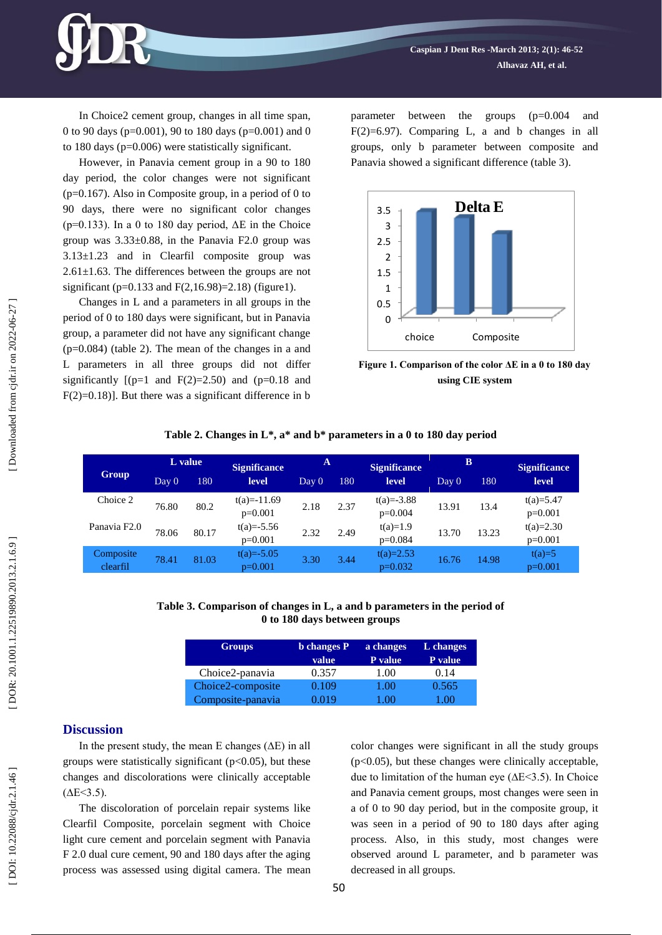In Choice2 cement group, changes in all time span, 0 to 90 days (p=0.001), 90 to 180 days ( p=0.001) and 0 to 180 days ( p =0.006) were statistically significant.

However, in Panavia cement group in a 90 to 180 day period, the color changes were not significant  $(p=0.167)$ . Also in Composite group, in a period of 0 to 90 days, there were no significant color changes ( $p=0.133$ ). In a 0 to 180 day period,  $\Delta E$  in the Choice group was  $3.33\pm0.88$ , in the Panavia F2.0 group was 3.13±1.23 and in Clearfil composite group was 2.61±1.63 . The differences between the groups are not significant ( p=0.133 and F(2,16.98)=2.18) ( figure1).

Changes in L and a parameters in all groups in the period of 0 to 180 days were significant, but in Panavia group, a parameter did not have any significant change (p=0.084) (table 2). The mean of the changes in a and L parameters in all three groups did not differ significantly  $[(p=1 \text{ and } F(2)=2.50) \text{ and } (p=0.18 \text{ and }$  $F(2)=0.18$ ]. But there was a significant difference in b

parameter between the groups (p=0.004 and  $F(2)=6.97$ ). Comparing L, a and b changes in all groups, only b parameter between composite and Panavia showed a significant difference ( table 3).



**Figure 1. Comparison of the color ΔE in a 0 to 180 day using CIE system**

|                          |       | L value | <b>Significance</b>       | A     |      | <b>Significance</b>         | B     |       | <b>Significance</b>      |
|--------------------------|-------|---------|---------------------------|-------|------|-----------------------------|-------|-------|--------------------------|
| Group                    | Day 0 | 180     | level                     | Day 0 | 180  | level                       | Day 0 | 180   | level                    |
| Choice 2                 | 76.80 | 80.2    | $t(a)=11.69$<br>$p=0.001$ | 2.18  | 2.37 | $t(a) = -3.88$<br>$p=0.004$ | 13.91 | 13.4  | $t(a)=5.47$<br>$p=0.001$ |
| Panavia F <sub>2.0</sub> | 78.06 | 80.17   | $t(a)=-5.56$<br>$p=0.001$ | 2.32  | 2.49 | $t(a)=1.9$<br>$p=0.084$     | 13.70 | 13.23 | $t(a)=2.30$<br>$p=0.001$ |
| Composite<br>clearfil    | 78.41 | 81.03   | $t(a)=-5.05$<br>$p=0.001$ | 3.30  | 3.44 | $t(a)=2.53$<br>$p=0.032$    | 16.76 | 14.98 | $t(a)=5$<br>$p=0.001$    |

## **Table 2. Changes in L\*, a\* and b\* parameters in a 0 to 180 day period**

### **Table 3 . Comparison of changes in L, a and b parameters in the period of 0 to 180 days between groups**

| <b>Groups</b>     | <b>b</b> changes P | a changes | L changes |  |
|-------------------|--------------------|-----------|-----------|--|
|                   | value <sup>1</sup> | P value   | P value   |  |
| Choice2-panavia   | 0.357              | 1.00      | 0.14      |  |
| Choice2-composite | 0.109              | 1.00      | 0.565     |  |
| Composite-panavia | 0.019              | 1 00      | LOO.      |  |

#### **Discussion**

In the present study, the mean E changes (∆E) in all groups were statistically significant  $(p<0.05)$ , but these changes and discolorations were clinically acceptable  $(AE < 3.5)$ .

The discoloration of porcelain repair systems like Clearfil Composite, porcelain segment with Choice light cure cement and porcelain segment with Panavia F 2.0 dual cure cement, 90 and 180 days after the aging process was assessed using digital camera. The mean color changes were significant in all the study groups  $(p<0.05)$ , but these changes were clinically acceptable, due to limitation of the human eye (∆E<3.5). In Choice and Panavia cement groups, most changes were seen in a of 0 to 90 day period, but in the composite group, it was seen in a period of 90 to 180 days after aging process. Also, in this study, most changes were observed around L parameter, and b parameter was decreased in all groups.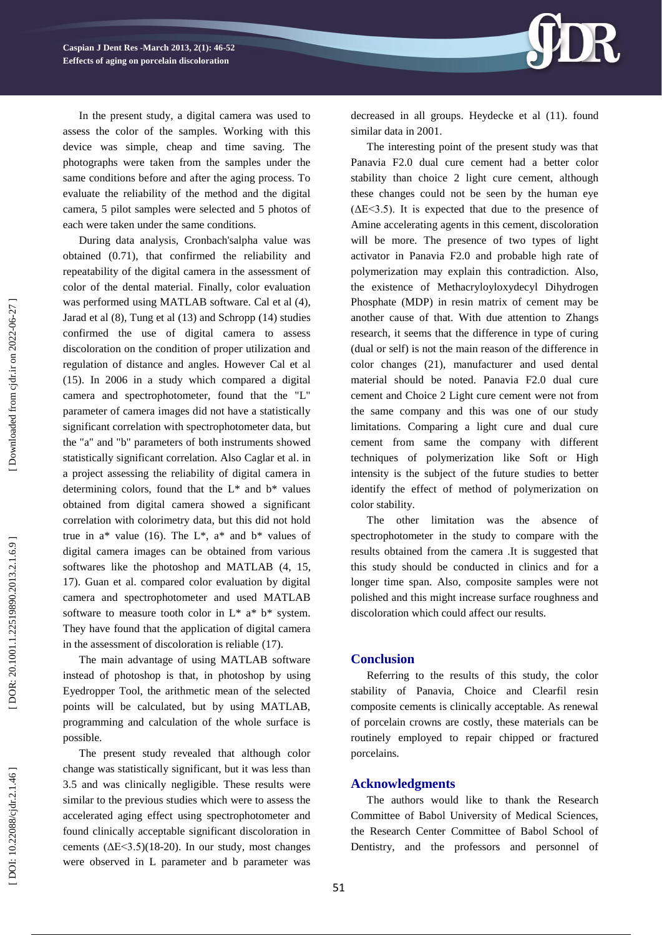

During data analysis, Cronbach'salpha value was obtained (0.71), that confirmed the reliability and repeatability of the digital camera in the assessment of color of the dental material. Finally, color evaluation was performed using MATLAB software. Cal et al ( 4), Jarad et al (8), Tung et al (13) and Schropp (14) studies confirmed the use of digital camera to assess discoloration on the condition of proper utilization and regulation of distance and angles. However Cal et al (15) . In 2006 in a study which compared a digital camera and spectrophotometer, found that the "L" parameter of camera images did not have a statistically significant correlation with spectrophotometer data, but the "a" and "b" parameters of both instruments showed statistically significant correlation. Also Caglar et al. in a project assessing the reliability of digital camera in determining colors, found that the  $L^*$  and  $b^*$  values obtained from digital camera showed a significant correlation with colorimetry data, but this did not hold true in  $a^*$  value (16). The  $L^*$ ,  $a^*$  and  $b^*$  values of digital camera images can be obtained from various softwares like the photoshop and MATLAB (4, 15, 17). Guan et al. compared color evaluation by digital camera and spectrophotometer and used MATLAB software to measure tooth color in  $L^*$  a\*  $b^*$  system. They have found that the application of digital camera in the assessment of discoloration is reliable (17).

The main advantage of using MATLAB software instead of photoshop is that, in photoshop by using Eyedropper Tool, the arithmetic mean of the selected points will be calculated, but by using MATLAB, programming and calculation of the whole surface is possible.

The present study revealed that although color change was statistically significant, but it was less than 3.5 and was clinically negligible. These results were similar to the previous studies which were to assess the accelerated aging effect using spectrophotometer and found clinically acceptable significant discoloration in cements  $(\Delta E \le 3.5)(18-20)$ . In our study, most changes were observed in L parameter and b parameter was



decreased in all groups. Heydecke et al (11) . found similar data in 2001.

The interesting point of the present study was that Panavia F2.0 dual cure cement had a better color stability than choice 2 light cure cement, although these changes could not be seen by the human eye  $( \Delta E \leq 3.5)$ . It is expected that due to the presence of Amine accelerating agents in this cement, discoloration will be more. The presence of two types of light activator in Panavia F2.0 and probable high rate of polymerization may explain this contradiction. Also, the existence of Methacryloyloxydecyl Dihydrogen Phosphate (MDP) in resin matrix of cement may be another cause of that. With due attention to Zhang s research, it seems that the difference in type of curing (dual or self) is not the main reason of the difference in color changes (21), manufacturer and used dental material should be noted. Panavia F2.0 dual cure cement and Choice 2 Light cure cement were not from the same company and this was one of our study limitations. Comparing a light cure and dual cure cement from same the company with different techniques of polymerization like Soft or High intensity is the subject of the future studies to better identify the effect of method of polymerization on color stability.

The other limitation was the absence of spectrophotometer in the study to compare with the results obtained from the camera .It is suggested that this study should be conducted in clinics and for a longer time span. Also, composite samples were not polished and this might increase surface roughness and discoloration which could affect our results.

#### **Conclusion**

Referring to the results of this study, the color stability of Panavia, Choice and Clearfil resin composite cements is clinically acceptable. As renewal of porcelain crowns are costly, these materials can be routinely employed to repair chipped or fractured porcelains.

## **Acknowledgment s**

The authors would like to thank the Research Committee of Babol University of Medical Sciences, the Research Center Committee of Babol School of Dentistry, and the professors and personnel of